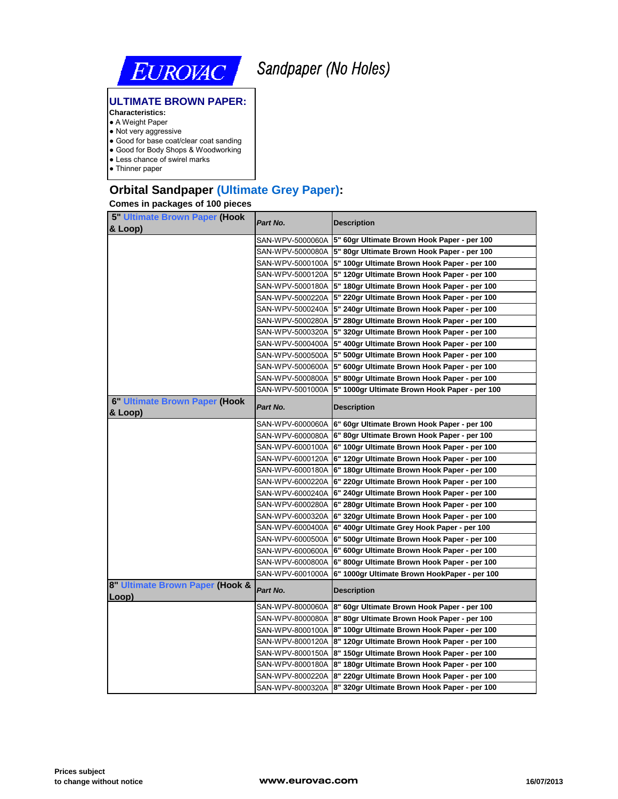

# *Sandpaper (No Holes)*

### **ULTIMATE BROWN PAPER:**

- **Characteristics:**
- A Weight Paper
- Not very aggressive
- Good for base coat/clear coat sanding ● Good for Body Shops & Woodworking
- Less chance of swirel marks
- Thinner paper

# **Orbital Sandpaper (Ultimate Grey Paper):**

#### **Comes in packages of 100 pieces**

| <b>5" Ultimate Brown Paper (Hook</b>     | Part No.         | <b>Description</b>                                             |
|------------------------------------------|------------------|----------------------------------------------------------------|
| & Loop)                                  |                  |                                                                |
|                                          |                  | SAN-WPV-5000060A 5" 60gr Ultimate Brown Hook Paper - per 100   |
|                                          |                  | SAN-WPV-5000080A 5" 80gr Ultimate Brown Hook Paper - per 100   |
|                                          |                  | SAN-WPV-5000100A 5" 100gr Ultimate Brown Hook Paper - per 100  |
|                                          |                  | SAN-WPV-5000120A 5" 120gr Ultimate Brown Hook Paper - per 100  |
|                                          |                  | SAN-WPV-5000180A 5" 180gr Ultimate Brown Hook Paper - per 100  |
|                                          |                  | SAN-WPV-5000220A  5" 220gr Ultimate Brown Hook Paper - per 100 |
|                                          |                  | SAN-WPV-5000240A 5" 240gr Ultimate Brown Hook Paper - per 100  |
|                                          |                  | SAN-WPV-5000280A 5" 280gr Ultimate Brown Hook Paper - per 100  |
|                                          |                  | SAN-WPV-5000320A 5" 320gr Ultimate Brown Hook Paper - per 100  |
|                                          |                  | SAN-WPV-5000400A 5" 400gr Ultimate Brown Hook Paper - per 100  |
|                                          |                  | SAN-WPV-5000500A 5" 500gr Ultimate Brown Hook Paper - per 100  |
|                                          |                  | SAN-WPV-5000600A 5" 600gr Ultimate Brown Hook Paper - per 100  |
|                                          |                  | SAN-WPV-5000800A 5" 800gr Ultimate Brown Hook Paper - per 100  |
|                                          | SAN-WPV-5001000A | 5" 1000gr Ultimate Brown Hook Paper - per 100                  |
| 6" Ultimate Brown Paper (Hook<br>& Loop) | Part No.         | <b>Description</b>                                             |
|                                          |                  | SAN-WPV-6000060A 6" 60gr Ultimate Brown Hook Paper - per 100   |
|                                          | SAN-WPV-6000080A | 6" 80gr Ultimate Brown Hook Paper - per 100                    |
|                                          |                  | SAN-WPV-6000100A 6" 100gr Ultimate Brown Hook Paper - per 100  |
|                                          | SAN-WPV-6000120A | 6" 120gr Ultimate Brown Hook Paper - per 100                   |
|                                          |                  | SAN-WPV-6000180A 6" 180gr Ultimate Brown Hook Paper - per 100  |
|                                          |                  | SAN-WPV-6000220A 6" 220gr Ultimate Brown Hook Paper - per 100  |
|                                          |                  | SAN-WPV-6000240A 6" 240gr Ultimate Brown Hook Paper - per 100  |
|                                          | SAN-WPV-6000280A | 6" 280gr Ultimate Brown Hook Paper - per 100                   |
|                                          | SAN-WPV-6000320A | 6" 320gr Ultimate Brown Hook Paper - per 100                   |
|                                          |                  | SAN-WPV-6000400A 6" 400gr Ultimate Grey Hook Paper - per 100   |
|                                          |                  | SAN-WPV-6000500A 6" 500gr Ultimate Brown Hook Paper - per 100  |
|                                          |                  | SAN-WPV-6000600A 6" 600gr Ultimate Brown Hook Paper - per 100  |
|                                          | SAN-WPV-6000800A | 6" 800gr Ultimate Brown Hook Paper - per 100                   |
|                                          | SAN-WPV-6001000A | 6" 1000gr Ultimate Brown HookPaper - per 100                   |
| 8" Ultimate Brown Paper (Hook &<br>Loop) | Part No.         | <b>Description</b>                                             |
|                                          |                  | SAN-WPV-8000060A 8" 60gr Ultimate Brown Hook Paper - per 100   |
|                                          | SAN-WPV-8000080A | 8" 80gr Ultimate Brown Hook Paper - per 100                    |
|                                          |                  | SAN-WPV-8000100A 8" 100gr Ultimate Brown Hook Paper - per 100  |
|                                          |                  | SAN-WPV-8000120A  8" 120gr Ultimate Brown Hook Paper - per 100 |
|                                          |                  | SAN-WPV-8000150A  8" 150gr Ultimate Brown Hook Paper - per 100 |
|                                          |                  | SAN-WPV-8000180A 8" 180gr Ultimate Brown Hook Paper - per 100  |
|                                          |                  | SAN-WPV-8000220A 8" 220gr Ultimate Brown Hook Paper - per 100  |
|                                          |                  | SAN-WPV-8000320A 8" 320gr Ultimate Brown Hook Paper - per 100  |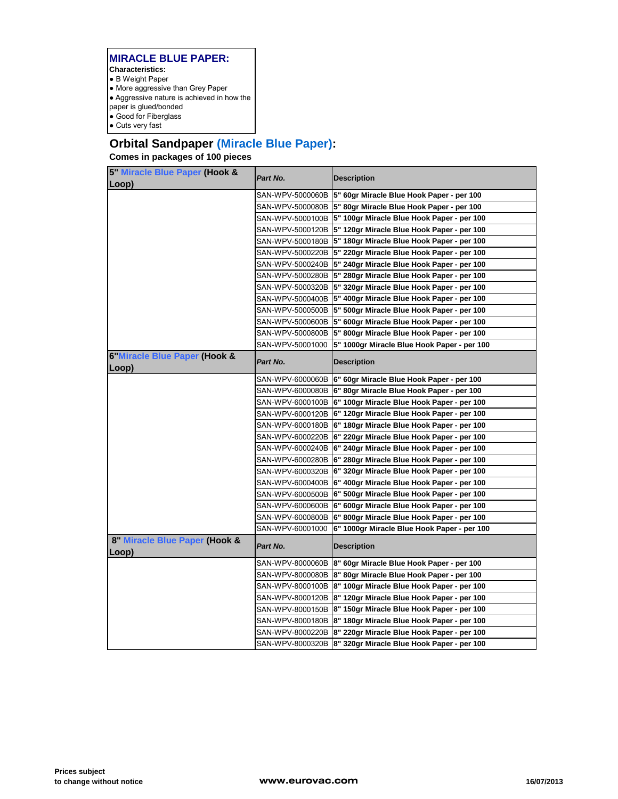- B Weight Paper
- More aggressive than Grey Paper
- Aggressive nature is achieved in how the
- paper is glued/bonded ● Good for Fiberglass
- Cuts very fast
- 

# **Orbital Sandpaper (Miracle Blue Paper):**

## **Comes in packages of 100 pieces**

| 5" Miracle Blue Paper (Hook &<br>Loop) | Part No.         | <b>Description</b>                                          |
|----------------------------------------|------------------|-------------------------------------------------------------|
|                                        |                  | SAN-WPV-5000060B 5" 60gr Miracle Blue Hook Paper - per 100  |
|                                        |                  | SAN-WPV-5000080B 5" 80gr Miracle Blue Hook Paper - per 100  |
|                                        |                  | SAN-WPV-5000100B 5" 100gr Miracle Blue Hook Paper - per 100 |
|                                        |                  | SAN-WPV-5000120B 5" 120gr Miracle Blue Hook Paper - per 100 |
|                                        |                  | SAN-WPV-5000180B 5" 180gr Miracle Blue Hook Paper - per 100 |
|                                        |                  | SAN-WPV-5000220B 5" 220gr Miracle Blue Hook Paper - per 100 |
|                                        |                  | SAN-WPV-5000240B 5" 240gr Miracle Blue Hook Paper - per 100 |
|                                        |                  | SAN-WPV-5000280B 5" 280gr Miracle Blue Hook Paper - per 100 |
|                                        | SAN-WPV-5000320B | 5" 320gr Miracle Blue Hook Paper - per 100                  |
|                                        |                  | SAN-WPV-5000400B 5" 400gr Miracle Blue Hook Paper - per 100 |
|                                        |                  | SAN-WPV-5000500B 5" 500gr Miracle Blue Hook Paper - per 100 |
|                                        |                  | SAN-WPV-5000600B 5" 600gr Miracle Blue Hook Paper - per 100 |
|                                        |                  | SAN-WPV-5000800B 5" 800gr Miracle Blue Hook Paper - per 100 |
|                                        | SAN-WPV-50001000 | 5" 1000gr Miracle Blue Hook Paper - per 100                 |
| 6"Miracle Blue Paper (Hook &<br>Loop)  | Part No.         | <b>Description</b>                                          |
|                                        | SAN-WPV-6000060B | 6" 60gr Miracle Blue Hook Paper - per 100                   |
|                                        | SAN-WPV-6000080B | 6" 80gr Miracle Blue Hook Paper - per 100                   |
|                                        | SAN-WPV-6000100B | 6" 100gr Miracle Blue Hook Paper - per 100                  |
|                                        |                  | SAN-WPV-6000120B 6" 120gr Miracle Blue Hook Paper - per 100 |
|                                        |                  | SAN-WPV-6000180B 6" 180gr Miracle Blue Hook Paper - per 100 |
|                                        | SAN-WPV-6000220B | 6" 220gr Miracle Blue Hook Paper - per 100                  |
|                                        |                  | SAN-WPV-6000240B 6" 240gr Miracle Blue Hook Paper - per 100 |
|                                        |                  | SAN-WPV-6000280B 6" 280gr Miracle Blue Hook Paper - per 100 |
|                                        | SAN-WPV-6000320B | 6" 320gr Miracle Blue Hook Paper - per 100                  |
|                                        |                  | SAN-WPV-6000400B 6" 400gr Miracle Blue Hook Paper - per 100 |
|                                        | SAN-WPV-6000500B | 6" 500gr Miracle Blue Hook Paper - per 100                  |
|                                        |                  | SAN-WPV-6000600B 6" 600gr Miracle Blue Hook Paper - per 100 |
|                                        | SAN-WPV-6000800B | 6" 800gr Miracle Blue Hook Paper - per 100                  |
|                                        | SAN-WPV-60001000 | 6" 1000gr Miracle Blue Hook Paper - per 100                 |
| 8" Miracle Blue Paper (Hook &<br>Loop) | Part No.         | <b>Description</b>                                          |
|                                        |                  | SAN-WPV-8000060B 8" 60gr Miracle Blue Hook Paper - per 100  |
|                                        |                  | SAN-WPV-8000080B 8" 80gr Miracle Blue Hook Paper - per 100  |
|                                        |                  | SAN-WPV-8000100B 8" 100gr Miracle Blue Hook Paper - per 100 |
|                                        |                  | SAN-WPV-8000120B 8" 120gr Miracle Blue Hook Paper - per 100 |
|                                        |                  | SAN-WPV-8000150B 8" 150gr Miracle Blue Hook Paper - per 100 |
|                                        |                  | SAN-WPV-8000180B 8" 180gr Miracle Blue Hook Paper - per 100 |
|                                        |                  |                                                             |
|                                        |                  | SAN-WPV-8000220B 8" 220gr Miracle Blue Hook Paper - per 100 |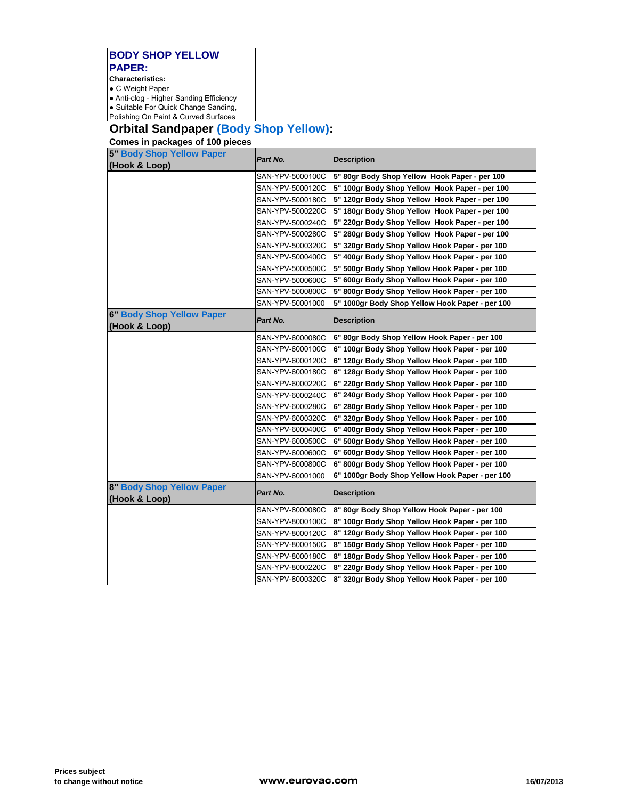#### **BODY SHOP YELLOW PAPER: Characteristics:**

● C Weight Paper

● Anti-clog - Higher Sanding Efficiency

• Suitable For Quick Change Sanding,

#### Polishing On Paint & Curved Surfaces

# **Orbital Sandpaper (Body Shop Yellow):**

**Comes in packages of 100 pieces**

| 5" Body Shop Yellow Paper<br>(Hook & Loop)        | Part No.         | <b>Description</b>                              |
|---------------------------------------------------|------------------|-------------------------------------------------|
|                                                   | SAN-YPV-5000100C | 5" 80gr Body Shop Yellow Hook Paper - per 100   |
|                                                   | SAN-YPV-5000120C | 5" 100gr Body Shop Yellow Hook Paper - per 100  |
|                                                   | SAN-YPV-5000180C | 5" 120gr Body Shop Yellow Hook Paper - per 100  |
|                                                   | SAN-YPV-5000220C | 5" 180gr Body Shop Yellow Hook Paper - per 100  |
|                                                   | SAN-YPV-5000240C | 5" 220gr Body Shop Yellow Hook Paper - per 100  |
|                                                   | SAN-YPV-5000280C | 5" 280gr Body Shop Yellow Hook Paper - per 100  |
|                                                   | SAN-YPV-5000320C | 5" 320gr Body Shop Yellow Hook Paper - per 100  |
|                                                   | SAN-YPV-5000400C | 5" 400gr Body Shop Yellow Hook Paper - per 100  |
|                                                   | SAN-YPV-5000500C | 5" 500gr Body Shop Yellow Hook Paper - per 100  |
|                                                   | SAN-YPV-5000600C | 5" 600gr Body Shop Yellow Hook Paper - per 100  |
|                                                   | SAN-YPV-5000800C | 5" 800gr Body Shop Yellow Hook Paper - per 100  |
|                                                   | SAN-YPV-50001000 | 5" 1000gr Body Shop Yellow Hook Paper - per 100 |
| <b>6" Body Shop Yellow Paper</b><br>(Hook & Loop) | Part No.         | <b>Description</b>                              |
|                                                   | SAN-YPV-6000080C | 6" 80gr Body Shop Yellow Hook Paper - per 100   |
|                                                   | SAN-YPV-6000100C | 6" 100gr Body Shop Yellow Hook Paper - per 100  |
|                                                   | SAN-YPV-6000120C | 6" 120gr Body Shop Yellow Hook Paper - per 100  |
|                                                   | SAN-YPV-6000180C | 6" 128gr Body Shop Yellow Hook Paper - per 100  |
|                                                   | SAN-YPV-6000220C | 6" 220gr Body Shop Yellow Hook Paper - per 100  |
|                                                   | SAN-YPV-6000240C | 6" 240gr Body Shop Yellow Hook Paper - per 100  |
|                                                   | SAN-YPV-6000280C | 6" 280gr Body Shop Yellow Hook Paper - per 100  |
|                                                   | SAN-YPV-6000320C | 6" 320gr Body Shop Yellow Hook Paper - per 100  |
|                                                   | SAN-YPV-6000400C | 6" 400gr Body Shop Yellow Hook Paper - per 100  |
|                                                   | SAN-YPV-6000500C | 6" 500gr Body Shop Yellow Hook Paper - per 100  |
|                                                   | SAN-YPV-6000600C | 6" 600gr Body Shop Yellow Hook Paper - per 100  |
|                                                   | SAN-YPV-6000800C | 6" 800gr Body Shop Yellow Hook Paper - per 100  |
|                                                   | SAN-YPV-60001000 | 6" 1000gr Body Shop Yellow Hook Paper - per 100 |
| 8" Body Shop Yellow Paper<br>(Hook & Loop)        | Part No.         | <b>Description</b>                              |
|                                                   | SAN-YPV-8000080C | 8" 80gr Body Shop Yellow Hook Paper - per 100   |
|                                                   | SAN-YPV-8000100C | 8" 100gr Body Shop Yellow Hook Paper - per 100  |
|                                                   | SAN-YPV-8000120C | 8" 120gr Body Shop Yellow Hook Paper - per 100  |
|                                                   | SAN-YPV-8000150C | 8" 150gr Body Shop Yellow Hook Paper - per 100  |
|                                                   | SAN-YPV-8000180C | 8" 180gr Body Shop Yellow Hook Paper - per 100  |
|                                                   | SAN-YPV-8000220C | 8" 220gr Body Shop Yellow Hook Paper - per 100  |
|                                                   | SAN-YPV-8000320C | 8" 320gr Body Shop Yellow Hook Paper - per 100  |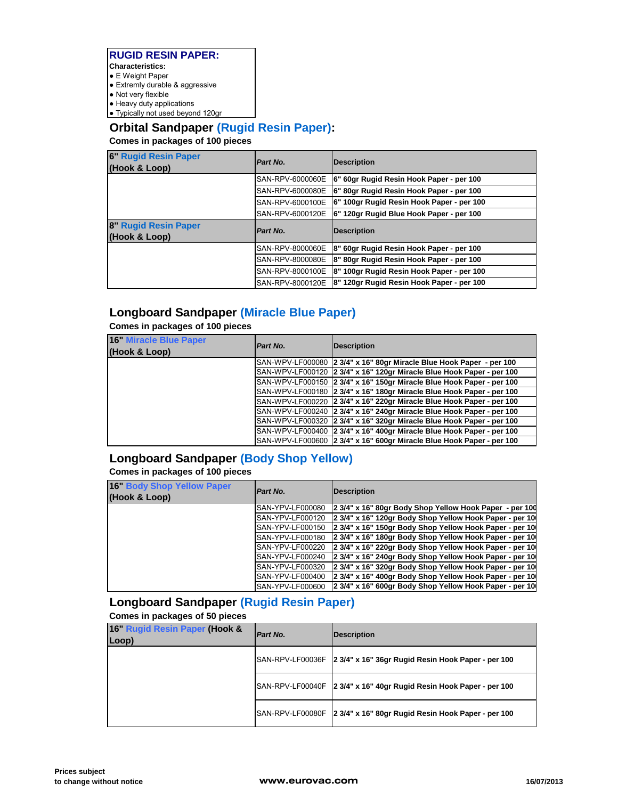#### **RUGID RESIN PAPER: Characteristics:**

- E Weight Paper
- Extremly durable & aggressive
- Not very flexible
- $\bullet$  Heavy duty applications
- Typically not used beyond 120gr

## **Orbital Sandpaper (Rugid Resin Paper):**

**Comes in packages of 100 pieces**

| <b>6" Rugid Resin Paper</b><br>(Hook & Loop) | Part No.         | Description                               |
|----------------------------------------------|------------------|-------------------------------------------|
|                                              | SAN-RPV-6000060E | 6" 60gr Rugid Resin Hook Paper - per 100  |
|                                              | SAN-RPV-6000080E | 6" 80gr Rugid Resin Hook Paper - per 100  |
|                                              | SAN-RPV-6000100E | 6" 100gr Rugid Resin Hook Paper - per 100 |
|                                              | SAN-RPV-6000120E | 6" 120gr Rugid Blue Hook Paper - per 100  |
|                                              |                  |                                           |
| 8" Rugid Resin Paper<br>(Hook & Loop)        | Part No.         | Description                               |
|                                              | SAN-RPV-8000060E | 8" 60gr Rugid Resin Hook Paper - per 100  |
|                                              | SAN-RPV-8000080E | 8" 80gr Rugid Resin Hook Paper - per 100  |
|                                              | SAN-RPV-8000100E | 8" 100gr Rugid Resin Hook Paper - per 100 |

## **Longboard Sandpaper (Miracle Blue Paper)**

**Comes in packages of 100 pieces**

| <b>16" Miracle Blue Paper</b> | Part No. | <b>Description</b>                                                    |
|-------------------------------|----------|-----------------------------------------------------------------------|
| (Hook & Loop)                 |          |                                                                       |
|                               |          | SAN-WPV-LF000080 2 3/4" x 16" 80gr Miracle Blue Hook Paper - per 100  |
|                               |          | SAN-WPV-LF000120 2 3/4" x 16" 120gr Miracle Blue Hook Paper - per 100 |
|                               |          | SAN-WPV-LF000150 2 3/4" x 16" 150gr Miracle Blue Hook Paper - per 100 |
|                               |          | SAN-WPV-LF000180 2 3/4" x 16" 180ar Miracle Blue Hook Paper - per 100 |
|                               |          | SAN-WPV-LF000220 2 3/4" x 16" 220gr Miracle Blue Hook Paper - per 100 |
|                               |          | SAN-WPV-LF000240 2 3/4" x 16" 240gr Miracle Blue Hook Paper - per 100 |
|                               |          | SAN-WPV-LF000320 2 3/4" x 16" 320gr Miracle Blue Hook Paper - per 100 |
|                               |          | SAN-WPV-LF000400 2 3/4" x 16" 400ar Miracle Blue Hook Paper - per 100 |
|                               |          | SAN-WPV-LF000600 2 3/4" x 16" 600gr Miracle Blue Hook Paper - per 100 |

# **Longboard Sandpaper (Body Shop Yellow)**

## **Comes in packages of 100 pieces**

| 16" Body Shop Yellow Paper<br>(Hook & Loop) | Part No.         | <b>Description</b>                                      |
|---------------------------------------------|------------------|---------------------------------------------------------|
|                                             | SAN-YPV-LF000080 | 2 3/4" x 16" 80gr Body Shop Yellow Hook Paper - per 100 |
|                                             | SAN-YPV-LF000120 | 2 3/4" x 16" 120gr Body Shop Yellow Hook Paper - per 10 |
|                                             | SAN-YPV-LF000150 | 2 3/4" x 16" 150gr Body Shop Yellow Hook Paper - per 10 |
|                                             | SAN-YPV-LF000180 | 2 3/4" x 16" 180gr Body Shop Yellow Hook Paper - per 10 |
|                                             | SAN-YPV-LF000220 | 2 3/4" x 16" 220gr Body Shop Yellow Hook Paper - per 10 |
|                                             | SAN-YPV-LF000240 | 2 3/4" x 16" 240gr Body Shop Yellow Hook Paper - per 10 |
|                                             | SAN-YPV-LF000320 | 2 3/4" x 16" 320gr Body Shop Yellow Hook Paper - per 10 |
|                                             | SAN-YPV-LF000400 | 2 3/4" x 16" 400gr Body Shop Yellow Hook Paper - per 10 |
|                                             | SAN-YPV-LF000600 | 2 3/4" x 16" 600gr Body Shop Yellow Hook Paper - per 10 |

# **Longboard Sandpaper (Rugid Resin Paper)**

**Comes in packages of 50 pieces**

| 16" Rugid Resin Paper (Hook &<br>Loop) | Part No. | Description                                                         |
|----------------------------------------|----------|---------------------------------------------------------------------|
|                                        |          | SAN-RPV-LF00036F 2 3/4" x 16" 36gr Rugid Resin Hook Paper - per 100 |
|                                        |          | SAN-RPV-LF00040F 2 3/4" x 16" 40gr Rugid Resin Hook Paper - per 100 |
|                                        |          | SAN-RPV-LF00080F 2 3/4" x 16" 80gr Rugid Resin Hook Paper - per 100 |